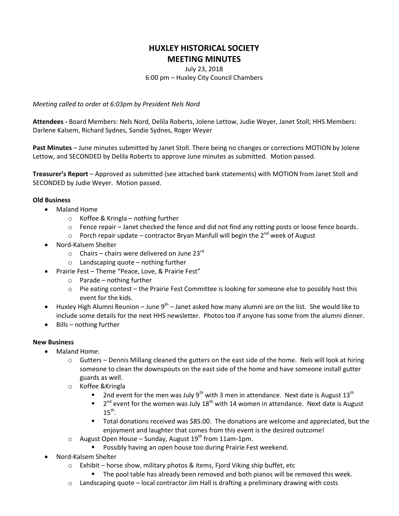## **HUXLEY HISTORICAL SOCIETY MEETING MINUTES**

July 23, 2018 6:00 pm – Huxley City Council Chambers

*Meeting called to order at 6:03pm by President Nels Nord*

**Attendees -** Board Members: Nels Nord, Delila Roberts, Jolene Lettow, Judie Weyer, Janet Stoll; HHS Members: Darlene Kalsem, Richard Sydnes, Sandie Sydnes, Roger Weyer

**Past Minutes** – June minutes submitted by Janet Stoll. There being no changes or corrections MOTION by Jolene Lettow, and SECONDED by Delila Roberts to approve June minutes as submitted. Motion passed.

**Treasurer's Report** – Approved as submitted (see attached bank statements) with MOTION from Janet Stoll and SECONDED by Judie Weyer. Motion passed.

## **Old Business**

- Maland Home
	- o Koffee & Kringla nothing further
	- $\circ$  Fence repair Janet checked the fence and did not find any rotting posts or loose fence boards.
	- $\circ$  Porch repair update contractor Bryan Manfull will begin the 2<sup>nd</sup> week of August
- Nord-Kalsem Shelter
	- $\circ$  Chairs chairs were delivered on June 23 $^{rd}$
	- $\circ$  Landscaping quote nothing further
- Prairie Fest Theme "Peace, Love, & Prairie Fest"
	- $\circ$  Parade nothing further
	- $\circ$  Pie eating contest the Prairie Fest Committee is looking for someone else to possibly host this event for the kids.
- Huxley High Alumni Reunion June  $9^{th}$  Janet asked how many alumni are on the list. She would like to include some details for the next HHS newsletter. Photos too if anyone has some from the alumni dinner.
- $\bullet$  Bills nothing further

## **New Business**

- Maland Home:
	- $\circ$  Gutters Dennis Millang cleaned the gutters on the east side of the home. Nels will look at hiring someone to clean the downspouts on the east side of the home and have someone install gutter guards as well.
	- o Koffee &Kringla
		- **2nd event for the men was July 9<sup>th</sup> with 3 men in attendance. Next date is August 13<sup>th</sup>**
		- $\blacksquare$  2<sup>nd</sup> event for the women was July 18<sup>th</sup> with 14 women in attendance. Next date is August  $15<sup>th</sup>$ .
		- Total donations received was \$85.00. The donations are welcome and appreciated, but the enjoyment and laughter that comes from this event is the desired outcome!
	- $\circ$  August Open House Sunday, August 19<sup>th</sup> from 11am-1pm.
		- **Possibly having an open house too during Prairie Fest weekend.**
- Nord-Kalsem Shelter
	- o Exhibit horse show, military photos & items, Fjord Viking ship buffet, etc
		- The pool table has already been removed and both pianos will be removed this week.
	- $\circ$  Landscaping quote local contractor Jim Hall is drafting a preliminary drawing with costs